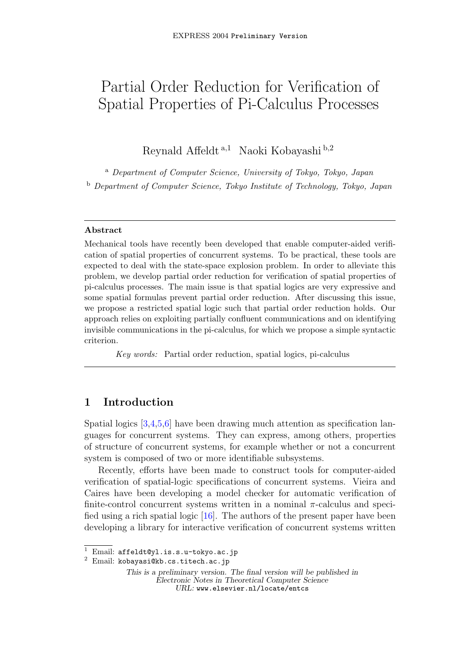# Partial Order Reduction for Verification of Spatial Properties of Pi-Calculus Processes

Reynald Affeldt <sup>a</sup>,<sup>1</sup> Naoki Kobayashi <sup>b</sup>,<sup>2</sup>

<sup>a</sup> Department of Computer Science, University of Tokyo, Tokyo, Japan

<sup>b</sup> Department of Computer Science, Tokyo Institute of Technology, Tokyo, Japan

#### Abstract

Mechanical tools have recently been developed that enable computer-aided verification of spatial properties of concurrent systems. To be practical, these tools are expected to deal with the state-space explosion problem. In order to alleviate this problem, we develop partial order reduction for verification of spatial properties of pi-calculus processes. The main issue is that spatial logics are very expressive and some spatial formulas prevent partial order reduction. After discussing this issue, we propose a restricted spatial logic such that partial order reduction holds. Our approach relies on exploiting partially confluent communications and on identifying invisible communications in the pi-calculus, for which we propose a simple syntactic criterion.

Key words: Partial order reduction, spatial logics, pi-calculus

# 1 Introduction

Spatial logics [\[3](#page-11-0)[,4,](#page-11-1)[5,](#page-11-2)[6\]](#page-12-0) have been drawing much attention as specification languages for concurrent systems. They can express, among others, properties of structure of concurrent systems, for example whether or not a concurrent system is composed of two or more identifiable subsystems.

Recently, efforts have been made to construct tools for computer-aided verification of spatial-logic specifications of concurrent systems. Vieira and Caires have been developing a model checker for automatic verification of finite-control concurrent systems written in a nominal  $\pi$ -calculus and specified using a rich spatial logic  $[16]$ . The authors of the present paper have been developing a library for interactive verification of concurrent systems written

<sup>1</sup> Email: affeldt@yl.is.s.u-tokyo.ac.jp

<sup>2</sup> Email: kobayasi@kb.cs.titech.ac.jp

This is a preliminary version. The final version will be published in Electronic Notes in Theoretical Computer Science URL: www.elsevier.nl/locate/entcs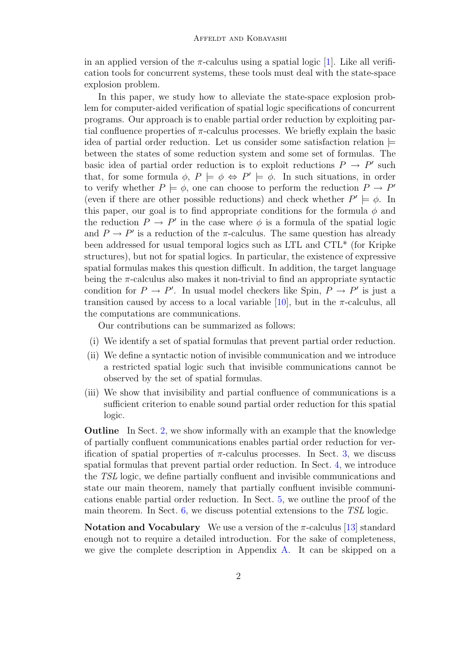in an applied version of the  $\pi$ -calculus using a spatial logic [\[1\]](#page-11-3). Like all verification tools for concurrent systems, these tools must deal with the state-space explosion problem.

In this paper, we study how to alleviate the state-space explosion problem for computer-aided verification of spatial logic specifications of concurrent programs. Our approach is to enable partial order reduction by exploiting partial confluence properties of  $\pi$ -calculus processes. We briefly explain the basic idea of partial order reduction. Let us consider some satisfaction relation  $\models$ between the states of some reduction system and some set of formulas. The basic idea of partial order reduction is to exploit reductions  $P \rightarrow P'$  such that, for some formula  $\phi$ ,  $P \models \phi \Leftrightarrow P' \models \phi$ . In such situations, in order to verify whether  $P \models \phi$ , one can choose to perform the reduction  $P \to P'$ (even if there are other possible reductions) and check whether  $P' \models \phi$ . In this paper, our goal is to find appropriate conditions for the formula  $\phi$  and the reduction  $P \to P'$  in the case where  $\phi$  is a formula of the spatial logic and  $P \to P'$  is a reduction of the  $\pi$ -calculus. The same question has already been addressed for usual temporal logics such as LTL and CTL\* (for Kripke structures), but not for spatial logics. In particular, the existence of expressive spatial formulas makes this question difficult. In addition, the target language being the  $\pi$ -calculus also makes it non-trivial to find an appropriate syntactic condition for  $P \to P'$ . In usual model checkers like Spin,  $P \to P'$  is just a transition caused by access to a local variable  $[10]$ , but in the  $\pi$ -calculus, all the computations are communications.

Our contributions can be summarized as follows:

- (i) We identify a set of spatial formulas that prevent partial order reduction.
- (ii) We define a syntactic notion of invisible communication and we introduce a restricted spatial logic such that invisible communications cannot be observed by the set of spatial formulas.
- (iii) We show that invisibility and partial confluence of communications is a sufficient criterion to enable sound partial order reduction for this spatial logic.

Outline In Sect. [2,](#page-2-0) we show informally with an example that the knowledge of partially confluent communications enables partial order reduction for verification of spatial properties of  $\pi$ -calculus processes. In Sect. [3,](#page-3-0) we discuss spatial formulas that prevent partial order reduction. In Sect. [4,](#page-5-0) we introduce the TSL logic, we define partially confluent and invisible communications and state our main theorem, namely that partially confluent invisible communications enable partial order reduction. In Sect. [5,](#page-8-0) we outline the proof of the main theorem. In Sect. [6,](#page-9-0) we discuss potential extensions to the TSL logic.

**Notation and Vocabulary** We use a version of the  $\pi$ -calculus [\[13\]](#page-12-3) standard enough not to require a detailed introduction. For the sake of completeness, we give the complete description in Appendix [A.](#page-13-0) It can be skipped on a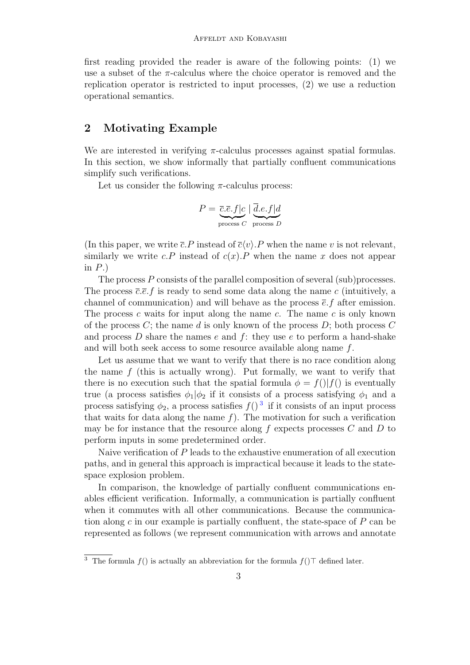first reading provided the reader is aware of the following points: (1) we use a subset of the  $\pi$ -calculus where the choice operator is removed and the replication operator is restricted to input processes, (2) we use a reduction operational semantics.

# <span id="page-2-0"></span>2 Motivating Example

We are interested in verifying  $\pi$ -calculus processes against spatial formulas. In this section, we show informally that partially confluent communications simplify such verifications.

Let us consider the following  $\pi$ -calculus process:

$$
P = \underbrace{\overline{c}.\overline{e}.f|c}_{\text{process } C} | \underbrace{\overline{d}.e.f|d}_{\text{process } D}
$$

(In this paper, we write  $\bar{c}P$  instead of  $\bar{c}\langle v\rangle$ ). P when the name v is not relevant, similarly we write c.P instead of  $c(x)$ .P when the name x does not appear in  $P.$ )

The process P consists of the parallel composition of several (sub)processes. The process  $\bar{c}.\bar{e}.f$  is ready to send some data along the name c (intuitively, a channel of communication) and will behave as the process  $\bar{e}$ . f after emission. The process c waits for input along the name c. The name c is only known of the process C; the name d is only known of the process D; both process C and process  $D$  share the names  $e$  and  $f$ : they use  $e$  to perform a hand-shake and will both seek access to some resource available along name f.

Let us assume that we want to verify that there is no race condition along the name  $f$  (this is actually wrong). Put formally, we want to verify that there is no execution such that the spatial formula  $\phi = f(0)f(0)$  is eventually true (a process satisfies  $\phi_1|\phi_2$  if it consists of a process satisfying  $\phi_1$  and a process satisfying  $\phi_2$ , a process satisfies  $f()$ <sup>[3](#page-2-1)</sup> if it consists of an input process that waits for data along the name  $f$ ). The motivation for such a verification may be for instance that the resource along  $f$  expects processes  $C$  and  $D$  to perform inputs in some predetermined order.

Naive verification of  $P$  leads to the exhaustive enumeration of all execution paths, and in general this approach is impractical because it leads to the statespace explosion problem.

In comparison, the knowledge of partially confluent communications enables efficient verification. Informally, a communication is partially confluent when it commutes with all other communications. Because the communication along c in our example is partially confluent, the state-space of  $P$  can be represented as follows (we represent communication with arrows and annotate

<span id="page-2-1"></span><sup>&</sup>lt;sup>3</sup> The formula  $f()$  is actually an abbreviation for the formula  $f()$ <sup> $\top$ </sup> defined later.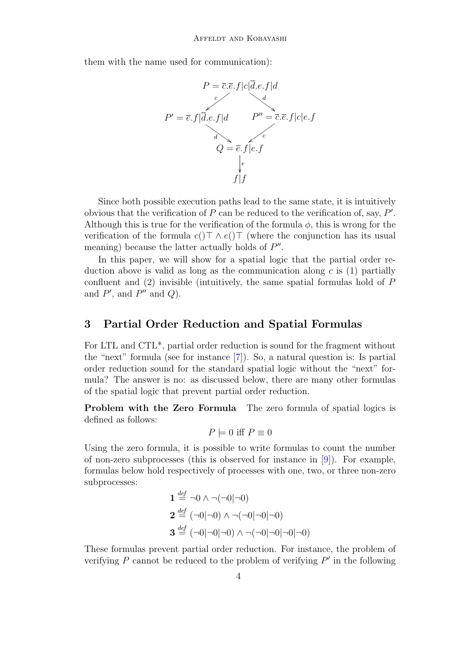them with the name used for communication):



Since both possible execution paths lead to the same state, it is intuitively obvious that the verification of  $P$  can be reduced to the verification of, say,  $P'$ . Although this is true for the verification of the formula  $\phi$ , this is wrong for the verification of the formula  $c(\top \wedge e)$  (where the conjunction has its usual meaning) because the latter actually holds of  $P''$ .

In this paper, we will show for a spatial logic that the partial order reduction above is valid as long as the communication along  $c$  is (1) partially confluent and (2) invisible (intuitively, the same spatial formulas hold of P and  $P'$ , and  $P''$  and  $Q$ ).

### <span id="page-3-0"></span>3 Partial Order Reduction and Spatial Formulas

For LTL and CTL\*, partial order reduction is sound for the fragment without the "next" formula (see for instance [\[7\]](#page-12-4)). So, a natural question is: Is partial order reduction sound for the standard spatial logic without the "next" formula? The answer is no: as discussed below, there are many other formulas of the spatial logic that prevent partial order reduction.

Problem with the Zero Formula The zero formula of spatial logics is defined as follows:

$$
P \models 0 \text{ iff } P \equiv 0
$$

Using the zero formula, it is possible to write formulas to count the number of non-zero subprocesses (this is observed for instance in [\[9\]](#page-12-5)). For example, formulas below hold respectively of processes with one, two, or three non-zero subprocesses:

$$
1 \stackrel{\text{def}}{=} \neg 0 \land \neg(\neg 0|\neg 0)
$$
  
\n
$$
2 \stackrel{\text{def}}{=} (\neg 0|\neg 0) \land \neg(\neg 0|\neg 0|\neg 0)
$$
  
\n
$$
3 \stackrel{\text{def}}{=} (\neg 0|\neg 0|\neg 0) \land \neg(\neg 0|\neg 0|\neg 0|\neg 0)
$$

 $\ddot{\phantom{a}}$ 

These formulas prevent partial order reduction. For instance, the problem of verifying  $P$  cannot be reduced to the problem of verifying  $P'$  in the following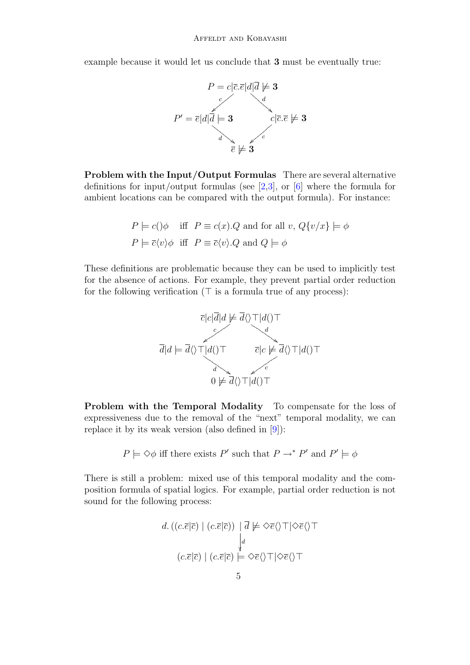example because it would let us conclude that 3 must be eventually true:



Problem with the Input/Output Formulas There are several alternative definitions for input/output formulas (see [\[2,](#page-11-4)[3\]](#page-11-0), or [\[6\]](#page-12-0) where the formula for ambient locations can be compared with the output formula). For instance:

$$
P \models c(\phi)
$$
 iff  $P \equiv c(x).Q$  and for all  $v, Q\{v/x\} \models \phi$   
 $P \models \overline{c}\langle v \rangle \phi$  iff  $P \equiv \overline{c}\langle v \rangle.Q$  and  $Q \models \phi$ 

These definitions are problematic because they can be used to implicitly test for the absence of actions. For example, they prevent partial order reduction for the following verification  $(T$  is a formula true of any process):



Problem with the Temporal Modality To compensate for the loss of expressiveness due to the removal of the "next" temporal modality, we can replace it by its weak version (also defined in  $[9]$ ):

 $P \models \Diamond \phi$  iff there exists P' such that  $P \rightarrow^* P'$  and  $P' \models \phi$ 

There is still a problem: mixed use of this temporal modality and the composition formula of spatial logics. For example, partial order reduction is not sound for the following process:

$$
d. ((c.\overline{e}|\overline{c}) | (c.\overline{e}|\overline{c})) |\overline{d} \not\models \Diamond \overline{e} \langle \rangle \top | \Diamond \overline{e} \langle \rangle \top
$$

$$
\downarrow_d
$$

$$
(c.\overline{e}|\overline{c}) | (c.\overline{e}|\overline{c}) \models \Diamond \overline{e} \langle \rangle \top | \Diamond \overline{e} \langle \rangle \top
$$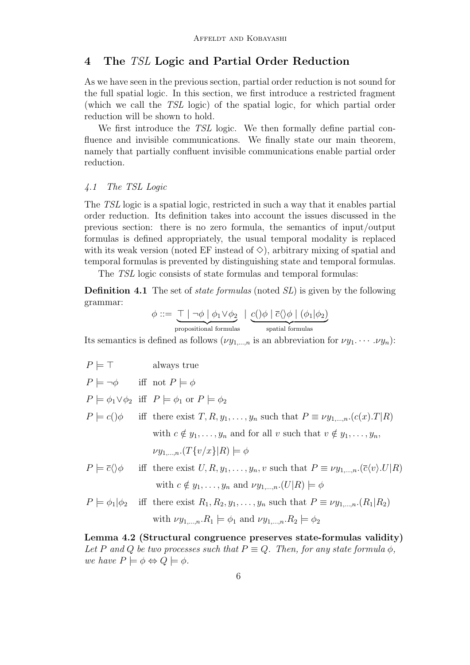### <span id="page-5-0"></span>4 The TSL Logic and Partial Order Reduction

As we have seen in the previous section, partial order reduction is not sound for the full spatial logic. In this section, we first introduce a restricted fragment (which we call the TSL logic) of the spatial logic, for which partial order reduction will be shown to hold.

We first introduce the *TSL* logic. We then formally define partial confluence and invisible communications. We finally state our main theorem, namely that partially confluent invisible communications enable partial order reduction.

### <span id="page-5-1"></span>4.1 The TSL Logic

The TSL logic is a spatial logic, restricted in such a way that it enables partial order reduction. Its definition takes into account the issues discussed in the previous section: there is no zero formula, the semantics of input/output formulas is defined appropriately, the usual temporal modality is replaced with its weak version (noted EF instead of  $\Diamond$ ), arbitrary mixing of spatial and temporal formulas is prevented by distinguishing state and temporal formulas.

The TSL logic consists of state formulas and temporal formulas:

Definition 4.1 The set of *state formulas* (noted *SL*) is given by the following grammar:

$$
\phi ::= \underbrace{\top | \neg \phi | \phi_1 \vee \phi_2}_{\text{propositional formulas}} | \underbrace{c() \phi | \overline{c} \langle \rangle \phi | (\phi_1 | \phi_2)}_{\text{spatial formulas}}
$$

Its semantics is defined as follows  $(\nu y_{1,\dots,n})$  is an abbreviation for  $\nu y_1 \dots \nu y_n$ ):

 $P \models \top$  always true

$$
P \models \neg \phi
$$
 iff not  $P \models \phi$ 

 $P \models \phi_1 \vee \phi_2$  iff  $P \models \phi_1$  or  $P \models \phi_2$ 

 $P \models c(\phi)$  iff there exist  $T, R, y_1, \ldots, y_n$  such that  $P \equiv \nu y_1, \ldots, \nu_n$ .  $(c(x).T|R)$ with  $c \notin y_1, \ldots, y_n$  and for all v such that  $v \notin y_1, \ldots, y_n$ ,  $\nu y_{1,\dots,n}$ . $(T{v/x}|R) \models \phi$ 

- $P \models \overline{c} \langle \rangle \phi$  iff there exist  $U, R, y_1, \ldots, y_n, v$  such that  $P \equiv \nu y_1, \ldots, n.(\overline{c}\langle v \rangle, U|R)$ with  $c \notin y_1, \ldots, y_n$  and  $\nu y_{1,\ldots,n}$ . $(U|R) \models \phi$
- $P \models \phi_1 | \phi_2$  iff there exist  $R_1, R_2, y_1, \ldots, y_n$  such that  $P \equiv \nu y_{1,\ldots,n}$ .  $(R_1 | R_2)$ with  $\nu y_{1,\dots,n}.R_1 \models \phi_1$  and  $\nu y_{1,\dots,n}.R_2 \models \phi_2$

Lemma 4.2 (Structural congruence preserves state-formulas validity) Let P and Q be two processes such that  $P \equiv Q$ . Then, for any state formula  $\phi$ , we have  $P \models \phi \Leftrightarrow Q \models \phi$ .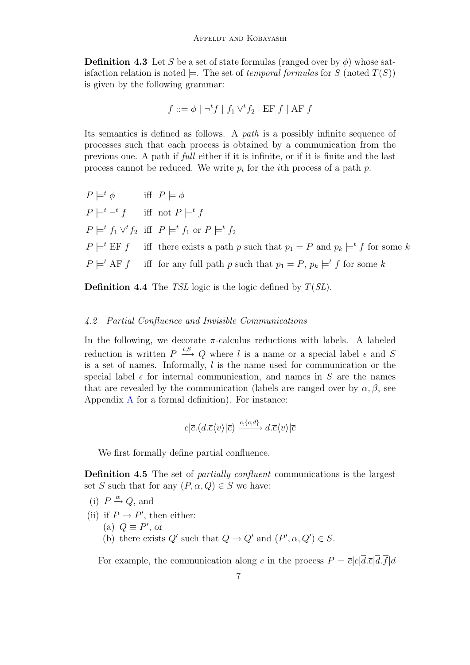**Definition 4.3** Let S be a set of state formulas (ranged over by  $\phi$ ) whose satisfaction relation is noted  $\models$ . The set of *temporal formulas* for S (noted  $T(S)$ ) is given by the following grammar:

$$
f ::= \phi \mid \neg^t f \mid f_1 \vee^t f_2 \mid \text{EF } f \mid \text{AF } f
$$

Its semantics is defined as follows. A path is a possibly infinite sequence of processes such that each process is obtained by a communication from the previous one. A path if full either if it is infinite, or if it is finite and the last process cannot be reduced. We write  $p_i$  for the *i*<sup>th</sup> process of a path  $p$ .

$$
P \models^t \phi \quad \text{iff} \quad P \models \phi
$$
  
\n
$$
P \models^t \neg^t f \quad \text{iff} \quad \text{not} \quad P \models^t f
$$
  
\n
$$
P \models^t f_1 \lor^t f_2 \quad \text{iff} \quad P \models^t f_1 \text{ or } P \models^t f_2
$$
  
\n
$$
P \models^t \text{EF } f \quad \text{iff} \quad \text{there exists a path } p \text{ such that } p_1 = P \text{ and } p_k \models^t f \text{ for some } k
$$
  
\n
$$
P \models^t \text{AF } f \quad \text{iff} \quad \text{for any full path } p \text{ such that } p_1 = P, p_k \models^t f \text{ for some } k
$$

**Definition 4.4** The TSL logic is the logic defined by  $T(SL)$ .

#### 4.2 Partial Confluence and Invisible Communications

In the following, we decorate  $\pi$ -calculus reductions with labels. A labeled reduction is written  $P \stackrel{l,S}{\longrightarrow} Q$  where l is a name or a special label  $\epsilon$  and S is a set of names. Informally,  $l$  is the name used for communication or the special label  $\epsilon$  for internal communication, and names in S are the names that are revealed by the communication (labels are ranged over by  $\alpha, \beta$ , see Appendix [A](#page-13-0) for a formal definition). For instance:

$$
c|\overline{c}.(d.\overline{e}\langle v\rangle|\overline{c}) \xrightarrow{c,\{c,d\}} d.\overline{e}\langle v\rangle|\overline{c}
$$

We first formally define partial confluence.

Definition 4.5 The set of partially confluent communications is the largest set S such that for any  $(P, \alpha, Q) \in S$  we have:

(i) 
$$
P \xrightarrow{\alpha} Q
$$
, and

- (ii) if  $P \to P'$ , then either:
	- (a)  $Q \equiv P'$ , or
	- (b) there exists  $Q'$  such that  $Q \to Q'$  and  $(P', \alpha, Q') \in S$ .

For example, the communication along c in the process  $P = \overline{c}|c|\overline{d}\cdot\overline{e}|\overline{d}\cdot\overline{f}|d$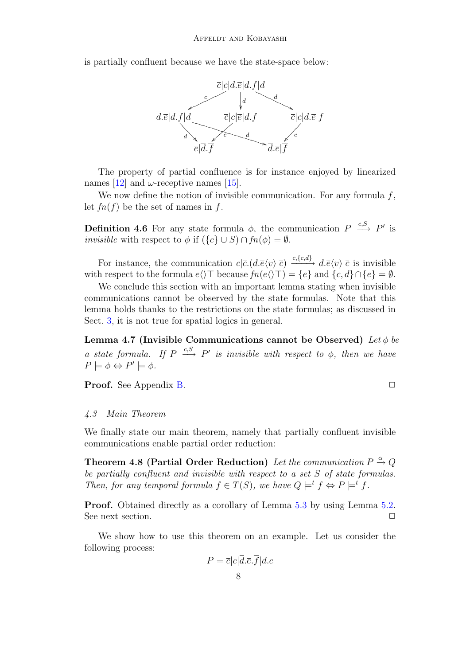is partially confluent because we have the state-space below:



The property of partial confluence is for instance enjoyed by linearized names [\[12\]](#page-12-6) and  $\omega$ -receptive names [\[15\]](#page-12-7).

We now define the notion of invisible communication. For any formula  $f$ , let  $fn(f)$  be the set of names in f.

**Definition 4.6** For any state formula  $\phi$ , the communication  $P \stackrel{c, S}{\longrightarrow} P'$  is *invisible* with respect to  $\phi$  if  $({c} \cup S) \cap fn(\phi) = \emptyset$ .

For instance, the communication  $c|\bar{c}$ . $(d\bar{c}\langle v\rangle|\bar{c}) \xrightarrow{c,\{c,d\}} d\bar{c}\langle v\rangle|\bar{c}$  is invisible with respect to the formula  $\overline{e}$  $\langle \rangle \top$  because  $fn(\overline{e}\langle \rangle \top) = \{e\}$  and  $\{c, d\} \cap \{e\} = \emptyset$ .

We conclude this section with an important lemma stating when invisible communications cannot be observed by the state formulas. Note that this lemma holds thanks to the restrictions on the state formulas; as discussed in Sect. [3,](#page-3-0) it is not true for spatial logics in general.

<span id="page-7-1"></span>Lemma 4.7 (Invisible Communications cannot be Observed) Let  $\phi$  be a state formula. If  $P \stackrel{c,S}{\longrightarrow} P'$  is invisible with respect to  $\phi$ , then we have  $P \models \phi \Leftrightarrow P' \models \phi.$ 

**Proof.** See Appendix [B.](#page-14-0)

$$
\Box
$$

#### 4.3 Main Theorem

We finally state our main theorem, namely that partially confluent invisible communications enable partial order reduction:

<span id="page-7-0"></span>Theorem 4.8 (Partial Order Reduction) Let the communication  $P \stackrel{\alpha}{\rightarrow} Q$ be partially confluent and invisible with respect to a set S of state formulas. Then, for any temporal formula  $f \in T(S)$ , we have  $Q \models^t f \Leftrightarrow P \models^t f$ .

Proof. Obtained directly as a corollary of Lemma [5.3](#page-9-1) by using Lemma [5.2.](#page-9-2) See next section.

We show how to use this theorem on an example. Let us consider the following process:

$$
P = \overline{c}|c|\overline{d}.\overline{e}.\overline{f}|d.e
$$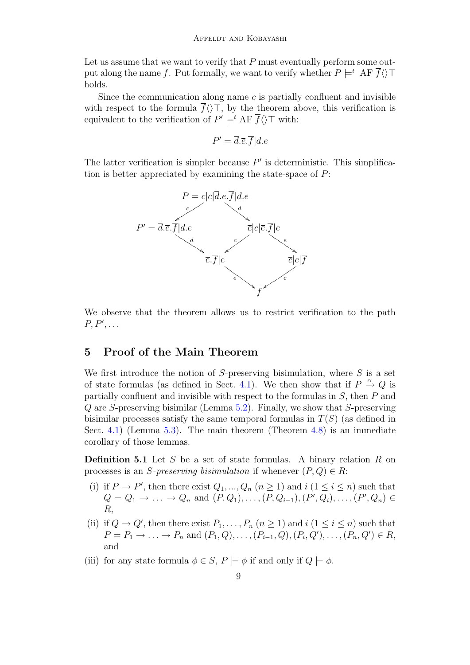Let us assume that we want to verify that  $P$  must eventually perform some output along the name f. Put formally, we want to verify whether  $P \models^t \text{AF } \overline{f} \langle \rangle \top$ holds.

Since the communication along name  $c$  is partially confluent and invisible with respect to the formula  $\overline{f}(\nabla)\top$ , by the theorem above, this verification is equivalent to the verification of  $P' \models^t \Lambda F \overline{f} \langle \rangle \top$  with:

$$
P' = \overline{d}.\overline{e}.\overline{f}|d.e
$$

The latter verification is simpler because  $P'$  is deterministic. This simplification is better appreciated by examining the state-space of  $P$ :



We observe that the theorem allows us to restrict verification to the path  $P, P', \ldots$ 

### <span id="page-8-0"></span>5 Proof of the Main Theorem

We first introduce the notion of  $S$ -preserving bisimulation, where  $S$  is a set of state formulas (as defined in Sect. [4.1\)](#page-5-1). We then show that if  $P \stackrel{\alpha}{\rightarrow} Q$  is partially confluent and invisible with respect to the formulas in S, then P and Q are S-preserving bisimilar (Lemma [5.2\)](#page-9-2). Finally, we show that S-preserving bisimilar processes satisfy the same temporal formulas in  $T(S)$  (as defined in Sect. [4.1\)](#page-5-1) (Lemma [5.3\)](#page-9-1). The main theorem (Theorem [4.8\)](#page-7-0) is an immediate corollary of those lemmas.

**Definition 5.1** Let S be a set of state formulas. A binary relation R on processes is an S-preserving bisimulation if whenever  $(P,Q) \in R$ :

- (i) if  $P \to P'$ , then there exist  $Q_1, ..., Q_n$   $(n \ge 1)$  and  $i$   $(1 \le i \le n)$  such that  $Q = Q_1 \to \ldots \to Q_n$  and  $(P, Q_1), \ldots, (P, Q_{i-1}), (P', Q_i), \ldots, (P', Q_n) \in$ R,
- (ii) if  $Q \to Q'$ , then there exist  $P_1, \ldots, P_n$   $(n \geq 1)$  and  $i$   $(1 \leq i \leq n)$  such that  $P = P_1 \to \dots \to P_n$  and  $(P_1, Q), \dots, (P_{i-1}, Q), (P_i, Q'), \dots, (P_n, Q') \in R$ , and
- (iii) for any state formula  $\phi \in S$ ,  $P \models \phi$  if and only if  $Q \models \phi$ .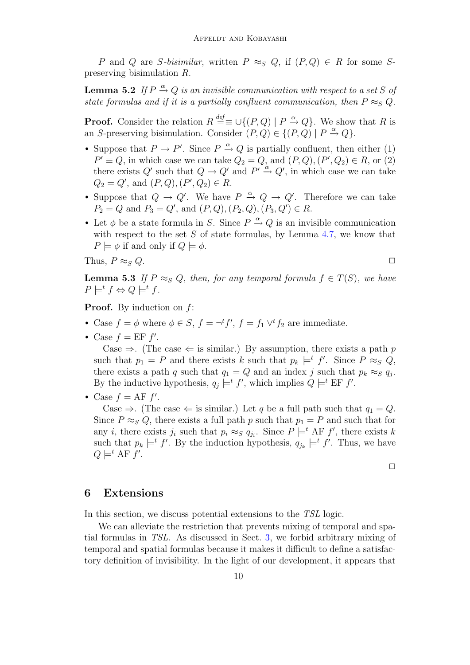P and Q are S-bisimilar, written  $P \approx_S Q$ , if  $(P,Q) \in R$  for some Spreserving bisimulation R.

<span id="page-9-2"></span>**Lemma 5.2** If  $P \stackrel{\alpha}{\rightarrow} Q$  is an invisible communication with respect to a set S of state formulas and if it is a partially confluent communication, then  $P \approx_{S} Q$ .

**Proof.** Consider the relation  $R \stackrel{\text{def}}{=} \cup \{(P,Q) | P \stackrel{\alpha}{\to} Q\}$ . We show that R is an S-preserving bisimulation. Consider  $(P,Q) \in \{(P,Q) | P \stackrel{\alpha}{\rightarrow} Q\}.$ 

- Suppose that  $P \to P'$ . Since  $P \stackrel{\alpha}{\to} Q$  is partially confluent, then either (1)  $P' \equiv Q$ , in which case we can take  $Q_2 = Q$ , and  $(P, Q), (P', Q_2) \in R$ , or  $(2)$ there exists Q' such that  $Q \to Q'$  and  $P' \stackrel{\alpha}{\to} Q'$ , in which case we can take  $Q_2 = Q'$ , and  $(P, Q)$ ,  $(P', Q_2) \in R$ .
- Suppose that  $Q \to Q'$ . We have  $P \stackrel{\alpha}{\to} Q \to Q'$ . Therefore we can take  $P_2 = Q$  and  $P_3 = Q'$ , and  $(P, Q), (P_2, Q), (P_3, Q') \in R$ .
- Let  $\phi$  be a state formula in S. Since  $P \stackrel{\alpha}{\rightarrow} Q$  is an invisible communication with respect to the set  $S$  of state formulas, by Lemma [4.7,](#page-7-1) we know that  $P \models \phi$  if and only if  $Q \models \phi$ .

Thus,  $P \approx_S Q$ .

<span id="page-9-1"></span>**Lemma 5.3** If  $P \approx_S Q$ , then, for any temporal formula  $f \in T(S)$ , we have  $P \models^t f \Leftrightarrow Q \models^t f.$ 

**Proof.** By induction on  $f$ :

- Case  $f = \phi$  where  $\phi \in S$ ,  $f = \neg^t f'$ ,  $f = f_1 \vee^t f_2$  are immediate.
- Case  $f = EF f'$ .

Case  $\Rightarrow$ . (The case  $\Leftarrow$  is similar.) By assumption, there exists a path p such that  $p_1 = P$  and there exists k such that  $p_k \models^t f'$ . Since  $P \approx_S Q$ , there exists a path q such that  $q_1 = Q$  and an index j such that  $p_k \approx_S q_j$ . By the inductive hypothesis,  $q_j \models^t f'$ , which implies  $Q \models^t \text{EF } f'$ .

• Case  $f = AF f'$ .

Case  $\Rightarrow$ . (The case  $\Leftarrow$  is similar.) Let q be a full path such that  $q_1 = Q$ . Since  $P \approx_S Q$ , there exists a full path p such that  $p_1 = P$  and such that for any *i*, there exists  $j_i$  such that  $p_i \approx_S q_{j_i}$ . Since  $P \models^t AF f'$ , there exists k such that  $p_k \models^t f'$ . By the induction hypothesis,  $q_{j_k} \models^t f'$ . Thus, we have  $Q \models^t \text{AF } f'.$ 

 $\Box$ 

### <span id="page-9-0"></span>6 Extensions

In this section, we discuss potential extensions to the TSL logic.

We can alleviate the restriction that prevents mixing of temporal and spatial formulas in TSL. As discussed in Sect. [3,](#page-3-0) we forbid arbitrary mixing of temporal and spatial formulas because it makes it difficult to define a satisfactory definition of invisibility. In the light of our development, it appears that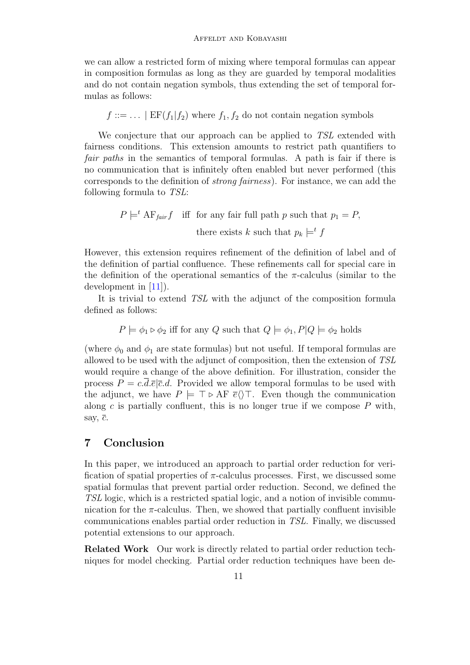we can allow a restricted form of mixing where temporal formulas can appear in composition formulas as long as they are guarded by temporal modalities and do not contain negation symbols, thus extending the set of temporal formulas as follows:

 $f ::= \dots | EF(f_1|f_2)$  where  $f_1, f_2$  do not contain negation symbols

We conjecture that our approach can be applied to TSL extended with fairness conditions. This extension amounts to restrict path quantifiers to fair paths in the semantics of temporal formulas. A path is fair if there is no communication that is infinitely often enabled but never performed (this corresponds to the definition of strong fairness). For instance, we can add the following formula to TSL:

> $P \models^t \text{AF}_{fair} f$  iff for any fair full path p such that  $p_1 = P$ , there exists k such that  $p_k \models^t f$

However, this extension requires refinement of the definition of label and of the definition of partial confluence. These refinements call for special care in the definition of the operational semantics of the  $\pi$ -calculus (similar to the development in [\[11\]](#page-12-8)).

It is trivial to extend TSL with the adjunct of the composition formula defined as follows:

 $P \models \phi_1 \triangleright \phi_2$  iff for any  $Q$  such that  $Q \models \phi_1, P | Q \models \phi_2$  holds

(where  $\phi_0$  and  $\phi_1$  are state formulas) but not useful. If temporal formulas are allowed to be used with the adjunct of composition, then the extension of TSL would require a change of the above definition. For illustration, consider the process  $P = c.d.\overline{e}|\overline{c}.d.$  Provided we allow temporal formulas to be used with the adjunct, we have  $P \models \top \triangleright AF \overline{e} \langle \rangle \top$ . Even though the communication along c is partially confluent, this is no longer true if we compose  $P$  with, say,  $\overline{c}$ .

# 7 Conclusion

In this paper, we introduced an approach to partial order reduction for verification of spatial properties of  $\pi$ -calculus processes. First, we discussed some spatial formulas that prevent partial order reduction. Second, we defined the TSL logic, which is a restricted spatial logic, and a notion of invisible communication for the  $\pi$ -calculus. Then, we showed that partially confluent invisible communications enables partial order reduction in TSL. Finally, we discussed potential extensions to our approach.

Related Work Our work is directly related to partial order reduction techniques for model checking. Partial order reduction techniques have been de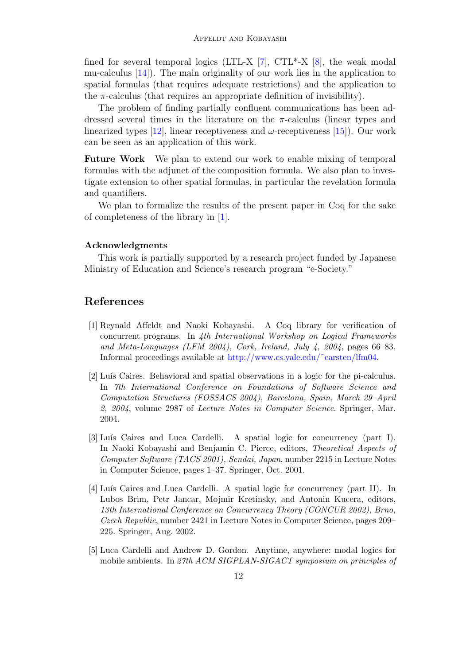fined for several temporal logics (LTL-X  $[7]$ , CTL<sup>\*</sup>-X  $[8]$ , the weak modal mu-calculus [\[14\]](#page-12-10)). The main originality of our work lies in the application to spatial formulas (that requires adequate restrictions) and the application to the  $\pi$ -calculus (that requires an appropriate definition of invisibility).

The problem of finding partially confluent communications has been addressed several times in the literature on the  $\pi$ -calculus (linear types and linearized types  $[12]$ , linear receptiveness and  $\omega$ -receptiveness  $[15]$ ). Our work can be seen as an application of this work.

Future Work We plan to extend our work to enable mixing of temporal formulas with the adjunct of the composition formula. We also plan to investigate extension to other spatial formulas, in particular the revelation formula and quantifiers.

We plan to formalize the results of the present paper in Coq for the sake of completeness of the library in [\[1\]](#page-11-3).

#### Acknowledgments

This work is partially supported by a research project funded by Japanese Ministry of Education and Science's research program "e-Society."

### References

- <span id="page-11-3"></span>[1] Reynald Affeldt and Naoki Kobayashi. A Coq library for verification of concurrent programs. In 4th International Workshop on Logical Frameworks and Meta-Languages (LFM 2004), Cork, Ireland, July 4, 2004, pages 66–83. Informal proceedings available at [http://www.cs.yale.edu/˜carsten/lfm04.](http://www.cs.yale.edu/~carsten/lfm04)
- <span id="page-11-4"></span>[2] Luís Caires. Behavioral and spatial observations in a logic for the pi-calculus. In 7th International Conference on Foundations of Software Science and Computation Structures (FOSSACS 2004), Barcelona, Spain, March 29–April 2, 2004, volume 2987 of Lecture Notes in Computer Science. Springer, Mar. 2004.
- <span id="page-11-0"></span>[3] Luís Caires and Luca Cardelli. A spatial logic for concurrency (part I). In Naoki Kobayashi and Benjamin C. Pierce, editors, Theoretical Aspects of Computer Software (TACS 2001), Sendai, Japan, number 2215 in Lecture Notes in Computer Science, pages 1–37. Springer, Oct. 2001.
- <span id="page-11-1"></span>[4] Luís Caires and Luca Cardelli. A spatial logic for concurrency (part II). In Lubos Brim, Petr Jancar, Mojmir Kretinsky, and Antonin Kucera, editors, 13th International Conference on Concurrency Theory (CONCUR 2002), Brno, Czech Republic, number 2421 in Lecture Notes in Computer Science, pages 209– 225. Springer, Aug. 2002.
- <span id="page-11-2"></span>[5] Luca Cardelli and Andrew D. Gordon. Anytime, anywhere: modal logics for mobile ambients. In 27th ACM SIGPLAN-SIGACT symposium on principles of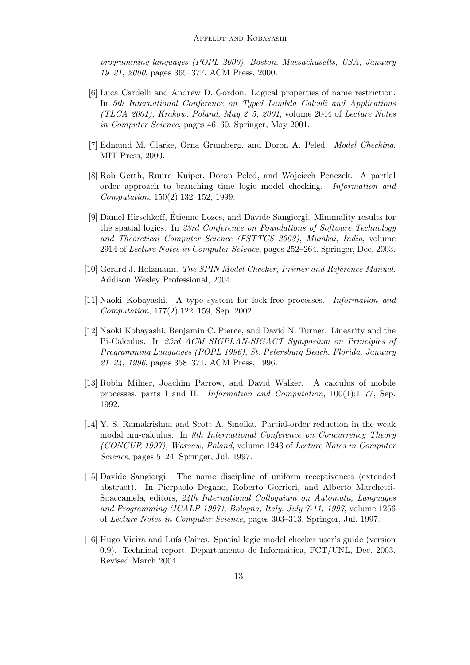programming languages (POPL 2000), Boston, Massachusetts, USA, January 19–21, 2000, pages 365–377. ACM Press, 2000.

- <span id="page-12-0"></span>[6] Luca Cardelli and Andrew D. Gordon. Logical properties of name restriction. In 5th International Conference on Typed Lambda Calculi and Applications (TLCA 2001), Krakow, Poland, May 2–5, 2001, volume 2044 of Lecture Notes in Computer Science, pages 46–60. Springer, May 2001.
- <span id="page-12-4"></span>[7] Edmund M. Clarke, Orna Grumberg, and Doron A. Peled. Model Checking. MIT Press, 2000.
- <span id="page-12-9"></span>[8] Rob Gerth, Ruurd Kuiper, Doron Peled, and Wojciech Penczek. A partial order approach to branching time logic model checking. Information and Computation, 150(2):132–152, 1999.
- <span id="page-12-5"></span>[9] Daniel Hirschkoff, Etienne Lozes, and Davide Sangiorgi. Minimality results for ´ the spatial logics. In 23rd Conference on Foundations of Software Technology and Theoretical Computer Science (FSTTCS 2003), Mumbai, India, volume 2914 of Lecture Notes in Computer Science, pages 252–264. Springer, Dec. 2003.
- <span id="page-12-2"></span>[10] Gerard J. Holzmann. The SPIN Model Checker, Primer and Reference Manual. Addison Wesley Professional, 2004.
- <span id="page-12-8"></span>[11] Naoki Kobayashi. A type system for lock-free processes. Information and Computation, 177(2):122–159, Sep. 2002.
- <span id="page-12-6"></span>[12] Naoki Kobayashi, Benjamin C. Pierce, and David N. Turner. Linearity and the Pi-Calculus. In 23rd ACM SIGPLAN-SIGACT Symposium on Principles of Programming Languages (POPL 1996), St. Petersburg Beach, Florida, January 21–24, 1996, pages 358–371. ACM Press, 1996.
- <span id="page-12-3"></span>[13] Robin Milner, Joachim Parrow, and David Walker. A calculus of mobile processes, parts I and II. Information and Computation, 100(1):1–77, Sep. 1992.
- <span id="page-12-10"></span>[14] Y. S. Ramakrishna and Scott A. Smolka. Partial-order reduction in the weak modal mu-calculus. In 8th International Conference on Concurrency Theory (CONCUR 1997), Warsaw, Poland, volume 1243 of Lecture Notes in Computer Science, pages 5–24. Springer, Jul. 1997.
- <span id="page-12-7"></span>[15] Davide Sangiorgi. The name discipline of uniform receptiveness (extended abstract). In Pierpaolo Degano, Roberto Gorrieri, and Alberto Marchetti-Spaccamela, editors, 24th International Colloquium on Automata, Languages and Programming (ICALP 1997), Bologna, Italy, July 7-11, 1997, volume 1256 of Lecture Notes in Computer Science, pages 303–313. Springer, Jul. 1997.
- <span id="page-12-1"></span>[16] Hugo Vieira and Luís Caires. Spatial logic model checker user's guide (version 0.9). Technical report, Departamento de Informática, FCT/UNL, Dec. 2003. Revised March 2004.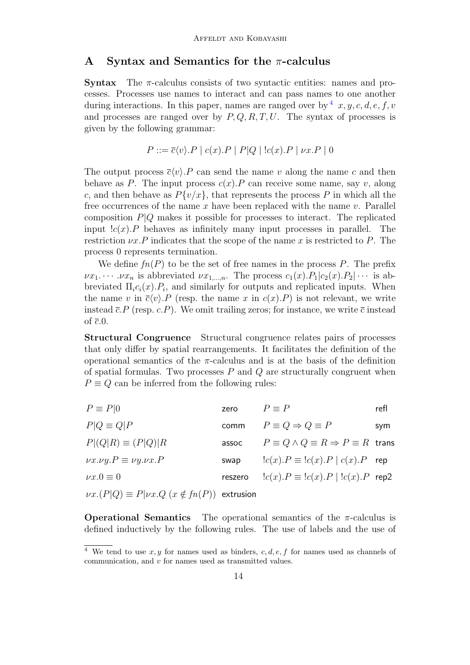### <span id="page-13-0"></span>A Syntax and Semantics for the  $\pi$ -calculus

**Syntax** The  $\pi$ -calculus consists of two syntactic entities: names and processes. Processes use names to interact and can pass names to one another during interactions. In this paper, names are ranged over by  $\frac{4}{x}$  $\frac{4}{x}$  $\frac{4}{x}$ , y, c, d, e, f, v and processes are ranged over by  $P, Q, R, T, U$ . The syntax of processes is given by the following grammar:

$$
P ::= \overline{c} \langle v \rangle.P \mid c(x).P \mid P|Q \mid \langle c(x).P \mid \nu x.P \mid 0
$$

The output process  $\bar{c}(v)$ . P can send the name v along the name c and then behave as P. The input process  $c(x)$ . P can receive some name, say v, along c, and then behave as  $P\{v/x\}$ , that represents the process P in which all the free occurrences of the name x have been replaced with the name  $v$ . Parallel composition  $P|Q$  makes it possible for processes to interact. The replicated input  $lc(x)$ . P behaves as infinitely many input processes in parallel. The restriction  $\nu x.P$  indicates that the scope of the name x is restricted to P. The process 0 represents termination.

We define  $fn(P)$  to be the set of free names in the process P. The prefix  $\nu x_1 \cdots \nu x_n$  is abbreviated  $\nu x_1 \cdots n$ . The process  $c_1(x) \cdot P_1 | c_2(x) \cdot P_2 | \cdots$  is abbreviated  $\Pi_i c_i(x) \cdot P_i$ , and similarly for outputs and replicated inputs. When the name v in  $\bar{c}(v)$ . P (resp. the name x in  $c(x)$ . P) is not relevant, we write instead  $\bar{c}$ . P (resp. c. P). We omit trailing zeros; for instance, we write  $\bar{c}$  instead of  $\bar{c}.0$ .

Structural Congruence Structural congruence relates pairs of processes that only differ by spatial rearrangements. It facilitates the definition of the operational semantics of the  $\pi$ -calculus and is at the basis of the definition of spatial formulas. Two processes  $P$  and  $Q$  are structurally congruent when  $P \equiv Q$  can be inferred from the following rules:

| $P \equiv P 0$                                            | zero    | $P \equiv P$                                                | refl |
|-----------------------------------------------------------|---------|-------------------------------------------------------------|------|
| $P Q \equiv Q P$                                          | comm    | $P \equiv Q \Rightarrow Q \equiv P$                         | sym  |
| $P (Q R) \equiv (P Q) R$                                  | assoc   | $P \equiv Q \wedge Q \equiv R \Rightarrow P \equiv R$ trans |      |
| $\nu x.\nu y.P \equiv \nu y.\nu x.P$                      | swap    | $lc(x).P \equiv lc(x).P \mid c(x).P$ rep                    |      |
| $\nu x.0 \equiv 0$                                        | reszero | $lc(x)$ . $P \equiv lc(x)$ . $P   lc(x)$ . $P$ rep2         |      |
| $\nu x.(P Q) \equiv P \nu x.Q (x \notin fn(P))$ extrusion |         |                                                             |      |

**Operational Semantics** The operational semantics of the  $\pi$ -calculus is defined inductively by the following rules. The use of labels and the use of

<span id="page-13-1"></span><sup>&</sup>lt;sup>4</sup> We tend to use x, y for names used as binders, c, d, e, f for names used as channels of communication, and v for names used as transmitted values.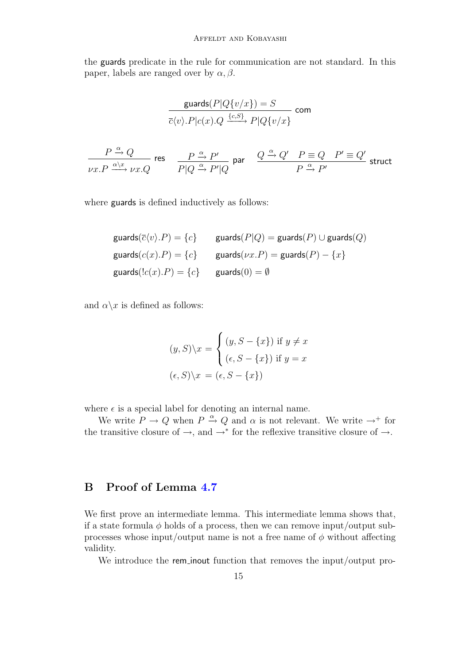the guards predicate in the rule for communication are not standard. In this paper, labels are ranged over by  $\alpha, \beta$ .

$$
\frac{\text{guards}(P|Q\{v/x\}) = S}{\overline{c}\langle v \rangle.P|c(x).Q \xrightarrow{\{c,S\}} P|Q\{v/x\}} \text{ com}
$$

$$
\frac{P\xrightarrow{\alpha}Q}{\nu x.P\xrightarrow{\alpha\backslash x}\nu x.Q} \text{ res } \quad \frac{P\xrightarrow{\alpha}P'}{P|Q\xrightarrow{\alpha}P'|Q} \text{ par } \quad \frac{Q\xrightarrow{\alpha}Q'}{P\xrightarrow{\alpha}P'}\frac{P\equiv Q\quadP'\equiv Q'}{P\xrightarrow{\alpha}P'} \text{ struct}
$$

where guards is defined inductively as follows:

$$
\begin{aligned}\n\text{guards}(\overline{c}\langle v \rangle.P) &= \{c\} & \text{guards}(P|Q) &= \text{guards}(P) \cup \text{guards}(Q) \\
\text{guards}(c(x).P) &= \{c\} & \text{guards}(vx.P) &= \text{guards}(P) - \{x\} \\
\text{guards}(!c(x).P) &= \{c\} & \text{guards}(0) &= \emptyset\n\end{aligned}
$$

and  $\alpha \backslash x$  is defined as follows:

$$
(y, S)\backslash x = \begin{cases} (y, S - \{x\}) \text{ if } y \neq x \\ (\epsilon, S - \{x\}) \text{ if } y = x \end{cases}
$$

$$
(\epsilon, S)\backslash x = (\epsilon, S - \{x\})
$$

where  $\epsilon$  is a special label for denoting an internal name.

We write  $P \to Q$  when  $P \stackrel{\alpha}{\to} Q$  and  $\alpha$  is not relevant. We write  $\to^+$  for the transitive closure of  $\rightarrow$ , and  $\rightarrow^*$  for the reflexive transitive closure of  $\rightarrow$ .

# <span id="page-14-0"></span>B Proof of Lemma [4.7](#page-7-1)

We first prove an intermediate lemma. This intermediate lemma shows that, if a state formula  $\phi$  holds of a process, then we can remove input/output subprocesses whose input/output name is not a free name of  $\phi$  without affecting validity.

We introduce the rem inout function that removes the input/output pro-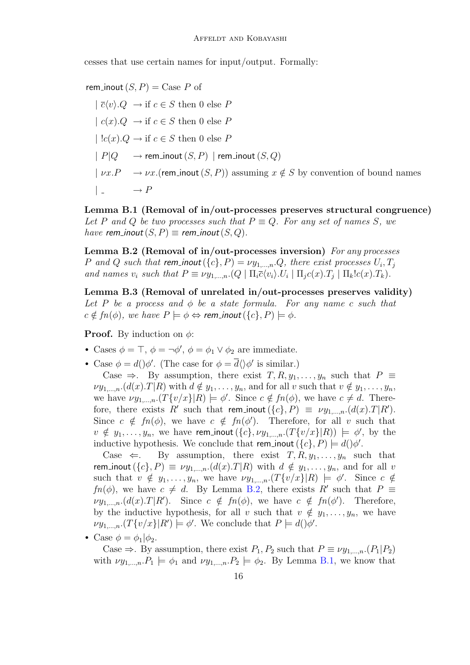cesses that use certain names for input/output. Formally:

rem inout  $(S, P) = \text{Case } P$  of  $\overline{c}(v)$ . $Q \rightarrow$  if  $c \in S$  then 0 else P  $| c(x) \cdot Q \rightarrow \text{if } c \in S \text{ then } 0 \text{ else } P$  $| \cdot | c(x) \cdot Q \rightarrow \text{if } c \in S \text{ then } 0 \text{ else } P$  $|P|Q \rightarrow$  rem\_inout  $(S, P)$  | rem\_inout  $(S, Q)$  $| \nu x.P \rightarrow \nu x.$ (rem\_inout  $(S, P)$ ) assuming  $x \notin S$  by convention of bound names  $|\,$   $\rightarrow$  P

<span id="page-15-1"></span>Lemma B.1 (Removal of in/out-processes preserves structural congruence) Let P and Q be two processes such that  $P \equiv Q$ . For any set of names S, we have rem\_inout  $(S, P) \equiv$  rem\_inout  $(S, Q)$ .

<span id="page-15-0"></span>Lemma B.2 (Removal of in/out-processes inversion) For any processes P and Q such that rem-inout  $({c}, P) = \nu y_{1,\dots,n}$ . Q, there exist processes  $U_i, T_j$ and names  $v_i$  such that  $P \equiv \nu y_{1,\dots,n}$ .  $(Q \mid \Pi_i \bar{c} \langle v_i \rangle \langle U_i \mid \Pi_j c(x) \rangle \langle T_j \mid \Pi_k! c(x) \rangle \langle T_k \rangle$ .

<span id="page-15-2"></span>Lemma B.3 (Removal of unrelated in/out-processes preserves validity) Let P be a process and  $\phi$  be a state formula. For any name c such that  $c \notin fn(\phi)$ , we have  $P \models \phi \Leftrightarrow \text{rem_inout}(\{c\}, P) \models \phi$ .

**Proof.** By induction on  $\phi$ :

- Cases  $\phi = \top$ ,  $\phi = \neg \phi'$ ,  $\phi = \phi_1 \lor \phi_2$  are immediate.
- Case  $\phi = d(\phi')$ . (The case for  $\phi = \overline{d}(\phi')$  is similar.)

Case  $\Rightarrow$ . By assumption, there exist  $T, R, y_1, \ldots, y_n$  such that  $P \equiv$  $\nu y_{1,\dots,n}.(d(x).T|R)$  with  $d \notin y_1, \dots, y_n$ , and for all v such that  $v \notin y_1, \dots, y_n$ , we have  $\nu y_{1,\dots,n}$ .  $(T\{v/x\}|R) \models \phi'$ . Since  $c \notin fn(\phi)$ , we have  $c \neq d$ . Therefore, there exists R' such that rem\_inout  $({c}, P) \equiv \nu y_{1,\dots,n}$ .  $(d(x).T|R')$ . Since  $c \notin fn(\phi)$ , we have  $c \notin fn(\phi')$ . Therefore, for all v such that  $v \notin y_1, \ldots, y_n$ , we have rem\_inout  $(\{c\}, \nu y_{1,\ldots,n}.\left(T\{v/x\}|R\right)) \models \phi'$ , by the inductive hypothesis. We conclude that rem inout  $({c}, P) \models d(\phi')$ .

Case  $\Leftarrow$ . By assumption, there exist  $T, R, y_1, \ldots, y_n$  such that rem inout  $({c}, P) \equiv \nu y_{1,\dots,n}$ .  $(d(x).T|R)$  with  $d \notin y_1, \dots, y_n$ , and for all v such that  $v \notin y_1, \ldots, y_n$ , we have  $\nu y_{1,\ldots,n}$ .  $(T\{v/x\}|R) \models \phi'$ . Since  $c \notin$  $fn(\phi)$ , we have  $c \neq d$ . By Lemma [B.2,](#page-15-0) there exists R' such that  $P \equiv$  $\nu y_{1,\dots,n}.(d(x).T|R')$ . Since  $c \notin fn(\phi)$ , we have  $c \notin fn(\phi')$ . Therefore, by the inductive hypothesis, for all v such that  $v \notin y_1, \ldots, y_n$ , we have  $\nu y_{1,\dots,n}$   $(T{v/x}|R') \models \phi'$ . We conclude that  $P \models d(\phi')$ .

• Case  $\phi = \phi_1 | \phi_2$ .

Case  $\Rightarrow$ . By assumption, there exist  $P_1, P_2$  such that  $P \equiv \nu y_{1,\dots,n}$ .  $(P_1|P_2)$ with  $\nu y_{1,\dots,n}.P_1 \models \phi_1$  and  $\nu y_{1,\dots,n}.P_2 \models \phi_2$ . By Lemma [B.1,](#page-15-1) we know that